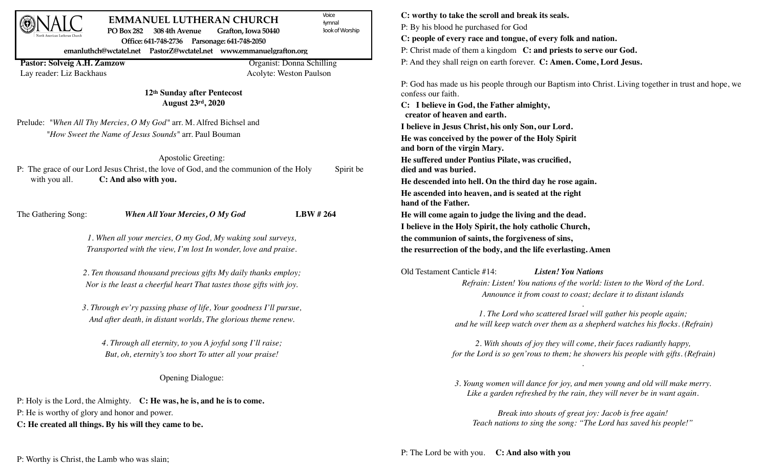| Voice<br><b>EMMANUEL LUTHERAN CHURCH</b><br>lymnal                                                              | C: worthy to take the scroll and break its seals.                                                                                              |
|-----------------------------------------------------------------------------------------------------------------|------------------------------------------------------------------------------------------------------------------------------------------------|
| PO Box 282 308 4th Avenue<br><b>300k of Worship</b><br>Grafton, Iowa 50440                                      | P: By his blood he purchased for God                                                                                                           |
| Office: 641-748-2736 Parsonage: 641-748-2050                                                                    | C: people of every race and tongue, of every folk and nation.                                                                                  |
| emanluthch@wctatel.net PastorZ@wctatel.net www.emmanuelgrafton.org                                              | P: Christ made of them a kingdom C: and priests to serve our God.                                                                              |
| Pastor: Solveig A.H. Zamzow<br>Organist: Donna Schilling<br>Lay reader: Liz Backhaus<br>Acolyte: Weston Paulson | P: And they shall reign on earth forever. C: Amen. Come, Lord Jesus.                                                                           |
| 12th Sunday after Pentecost                                                                                     | P: God has made us his people through our Baptism into Christ. Living together in trust and hope, we<br>confess our faith.                     |
| August 23rd, 2020                                                                                               | C: I believe in God, the Father almighty,<br>creator of heaven and earth.                                                                      |
| Prelude: "When All Thy Mercies, O My God" arr. M. Alfred Bichsel and                                            | I believe in Jesus Christ, his only Son, our Lord.                                                                                             |
| "How Sweet the Name of Jesus Sounds" arr. Paul Bouman                                                           | He was conceived by the power of the Holy Spirit<br>and born of the virgin Mary.                                                               |
| Apostolic Greeting:                                                                                             | He suffered under Pontius Pilate, was crucified,                                                                                               |
| P: The grace of our Lord Jesus Christ, the love of God, and the communion of the Holy                           | Spirit be<br>died and was buried.                                                                                                              |
| with you all.<br>C: And also with you.                                                                          | He descended into hell. On the third day he rose again.                                                                                        |
|                                                                                                                 | He ascended into heaven, and is seated at the right<br>hand of the Father.                                                                     |
| LBW #264<br>The Gathering Song:<br><b>When All Your Mercies, O My God</b>                                       | He will come again to judge the living and the dead.                                                                                           |
|                                                                                                                 | I believe in the Holy Spirit, the holy catholic Church,                                                                                        |
| 1. When all your mercies, O my God, My waking soul surveys,                                                     | the communion of saints, the forgiveness of sins,                                                                                              |
| Transported with the view, I'm lost In wonder, love and praise.                                                 | the resurrection of the body, and the life everlasting. Amen                                                                                   |
| 2. Ten thousand thousand precious gifts My daily thanks employ;                                                 | Old Testament Canticle #14:<br><b>Listen! You Nations</b>                                                                                      |
| Nor is the least a cheerful heart That tastes those gifts with joy.                                             | Refrain: Listen! You nations of the world: listen to the Word of the Lord.<br>Announce it from coast to coast; declare it to distant islands   |
| 3. Through ev'ry passing phase of life, Your goodness I'll pursue,                                              |                                                                                                                                                |
| And after death, in distant worlds, The glorious theme renew.                                                   | 1. The Lord who scattered Israel will gather his people again;<br>and he will keep watch over them as a shepherd watches his flocks. (Refrain) |
| 4. Through all eternity, to you A joyful song I'll raise;                                                       | 2. With shouts of joy they will come, their faces radiantly happy,                                                                             |
| But, oh, eternity's too short To utter all your praise!                                                         | for the Lord is so gen'rous to them; he showers his people with gifts. (Refrain)                                                               |
| Opening Dialogue:                                                                                               | 3. Young women will dance for joy, and men young and old will make merry.                                                                      |
| P: Holy is the Lord, the Almighty. C: He was, he is, and he is to come.                                         | Like a garden refreshed by the rain, they will never be in want again.                                                                         |
| P: He is worthy of glory and honor and power.                                                                   |                                                                                                                                                |
| C: He created all things. By his will they came to be.                                                          | Break into shouts of great joy: Jacob is free again!<br>Teach nations to sing the song: "The Lord has saved his people!"                       |
|                                                                                                                 |                                                                                                                                                |

P: Worthy is Christ, the Lamb who was slain;

## P: The Lord be with you. **C: And also with you**